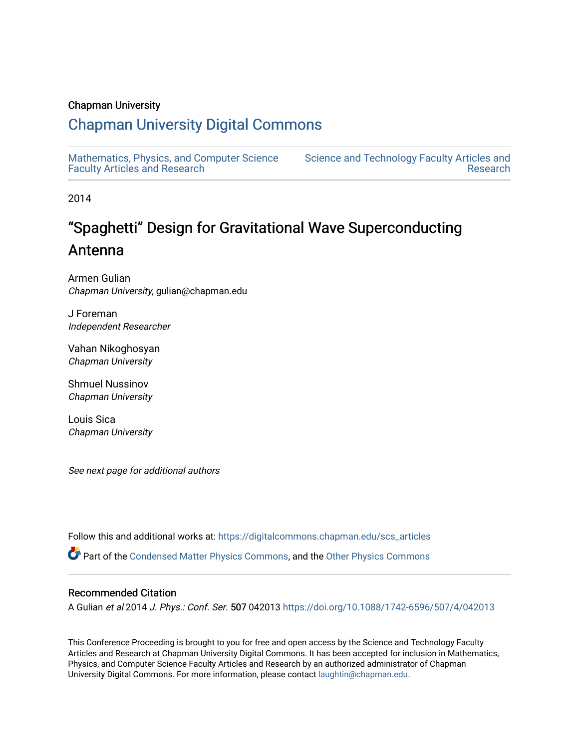### Chapman University

## [Chapman University Digital Commons](https://digitalcommons.chapman.edu/)

[Mathematics, Physics, and Computer Science](https://digitalcommons.chapman.edu/scs_articles)  [Faculty Articles and Research](https://digitalcommons.chapman.edu/scs_articles)

[Science and Technology Faculty Articles and](https://digitalcommons.chapman.edu/science_articles)  [Research](https://digitalcommons.chapman.edu/science_articles) 

2014

# "Spaghetti" Design for Gravitational Wave Superconducting Antenna

Armen Gulian Chapman University, gulian@chapman.edu

J Foreman Independent Researcher

Vahan Nikoghosyan Chapman University

Shmuel Nussinov Chapman University

Louis Sica Chapman University

See next page for additional authors

Follow this and additional works at: [https://digitalcommons.chapman.edu/scs\\_articles](https://digitalcommons.chapman.edu/scs_articles?utm_source=digitalcommons.chapman.edu%2Fscs_articles%2F750&utm_medium=PDF&utm_campaign=PDFCoverPages) 

Part of the [Condensed Matter Physics Commons,](http://network.bepress.com/hgg/discipline/197?utm_source=digitalcommons.chapman.edu%2Fscs_articles%2F750&utm_medium=PDF&utm_campaign=PDFCoverPages) and the [Other Physics Commons](http://network.bepress.com/hgg/discipline/207?utm_source=digitalcommons.chapman.edu%2Fscs_articles%2F750&utm_medium=PDF&utm_campaign=PDFCoverPages) 

### Recommended Citation

A Gulian et al 2014 J. Phys.: Conf. Ser. 507 042013<https://doi.org/10.1088/1742-6596/507/4/042013>

This Conference Proceeding is brought to you for free and open access by the Science and Technology Faculty Articles and Research at Chapman University Digital Commons. It has been accepted for inclusion in Mathematics, Physics, and Computer Science Faculty Articles and Research by an authorized administrator of Chapman University Digital Commons. For more information, please contact [laughtin@chapman.edu.](mailto:laughtin@chapman.edu)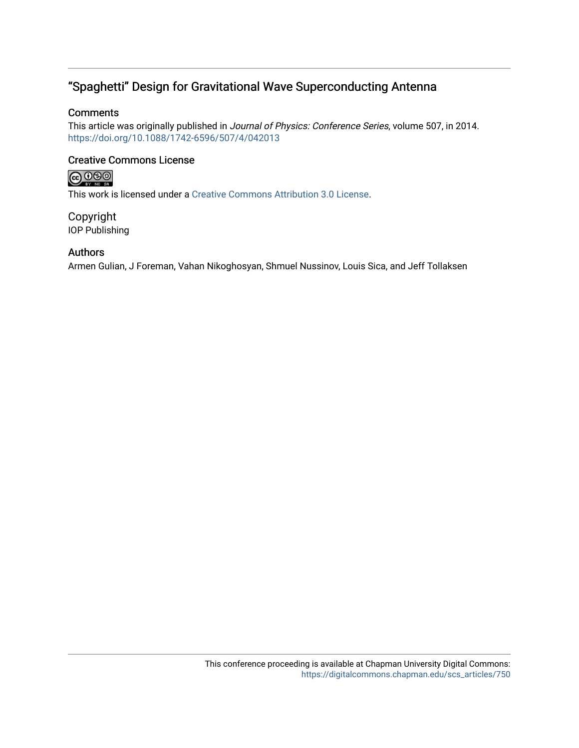### "Spaghetti" Design for Gravitational Wave Superconducting Antenna

### **Comments**

This article was originally published in Journal of Physics: Conference Series, volume 507, in 2014. <https://doi.org/10.1088/1742-6596/507/4/042013>

### Creative Commons License

# **@000**

This work is licensed under a [Creative Commons Attribution 3.0 License](https://creativecommons.org/licenses/by/3.0/).

Copyright IOP Publishing

### Authors

Armen Gulian, J Foreman, Vahan Nikoghosyan, Shmuel Nussinov, Louis Sica, and Jeff Tollaksen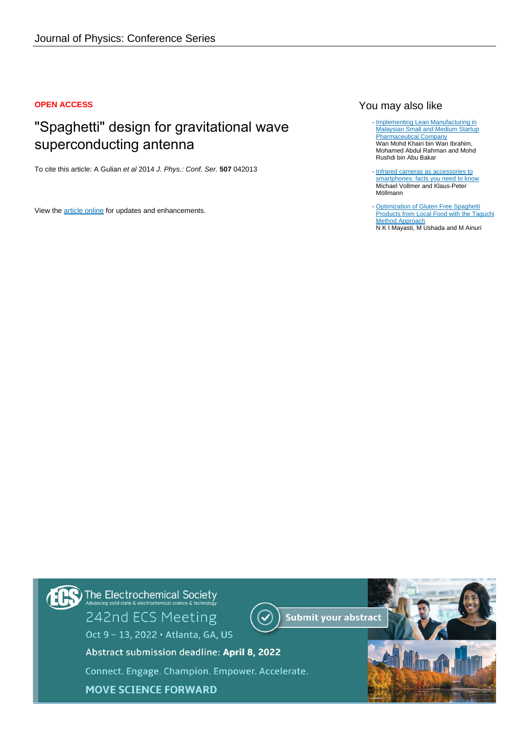### **OPEN ACCESS**

## "Spaghetti" design for gravitational wave superconducting antenna

To cite this article: A Gulian et al 2014 J. Phys.: Conf. Ser. **507** 042013

View the [article online](https://doi.org/10.1088/1742-6596/507/4/042013) for updates and enhancements.

### You may also like

- [Implementing Lean Manufacturing in](/article/10.1088/1757-899X/184/1/012016) [Malaysian Small and Medium Startup](/article/10.1088/1757-899X/184/1/012016) [Pharmaceutical Company](/article/10.1088/1757-899X/184/1/012016) Wan Mohd Khairi bin Wan Ibrahim, Mohamed Abdul Rahman and Mohd Rushdi bin Abu Bakar
- [Infrared cameras as accessories to](/article/10.1088/1361-6552/aae277) [smartphones: facts you need to know](/article/10.1088/1361-6552/aae277) Michael Vollmer and Klaus-Peter Möllmann
- **[Optimization of Gluten Free Spaghetti](/article/10.1088/1755-1315/251/1/012031)** [Products from Local Food with the Taguchi](/article/10.1088/1755-1315/251/1/012031) [Method Approach](/article/10.1088/1755-1315/251/1/012031) N K I Mayasti, M Ushada and M Ainuri -

The Electrochemical Society<br>Advancing solid state & electrochemical science & technology 242nd ECS Meeting **Submit your abstract** Oct 9 - 13, 2022 · Atlanta, GA, US Abstract submission deadline: April 8, 2022 Connect. Engage. Champion. Empower. Accelerate. **MOVE SCIENCE FORWARD**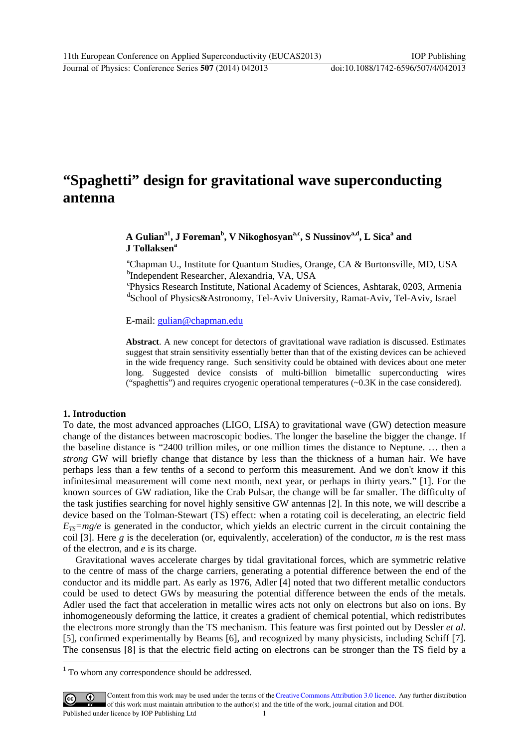# **"Spaghetti" design for gravitational wave superconducting antenna**

### A Gulian<sup>a1</sup>, J Foreman<sup>b</sup>, V Nikoghosyan<sup>a,c</sup>, S Nussinov<sup>a,d</sup>, L Sica<sup>a</sup> and **J Tollaksen<sup>a</sup>**

<sup>a</sup>Chapman U., Institute for Quantum Studies, Orange, CA & Burtonsville, MD, USA b Independent Researcher, Alexandria, VA, USA

c Physics Research Institute, National Academy of Sciences, Ashtarak, 0203, Armenia d School of Physics&Astronomy, Tel-Aviv University, Ramat-Aviv, Tel-Aviv, Israel

E-mail: gulian@chapman.edu

**Abstract**. A new concept for detectors of gravitational wave radiation is discussed. Estimates suggest that strain sensitivity essentially better than that of the existing devices can be achieved in the wide frequency range. Such sensitivity could be obtained with devices about one meter long. Suggested device consists of multi-billion bimetallic superconducting wires ("spaghettis") and requires cryogenic operational temperatures (~0.3K in the case considered).

### **1. Introduction**

-

To date, the most advanced approaches (LIGO, LISA) to gravitational wave (GW) detection measure change of the distances between macroscopic bodies. The longer the baseline the bigger the change. If the baseline distance is "2400 trillion miles, or one million times the distance to Neptune. … then a *strong* GW will briefly change that distance by less than the thickness of a human hair. We have perhaps less than a few tenths of a second to perform this measurement. And we don't know if this infinitesimal measurement will come next month, next year, or perhaps in thirty years." [1]. For the known sources of GW radiation, like the Crab Pulsar, the change will be far smaller. The difficulty of the task justifies searching for novel highly sensitive GW antennas [2]. In this note, we will describe a device based on the Tolman-Stewart (TS) effect: when a rotating coil is decelerating, an electric field  $E_{TS}=mg/e$  is generated in the conductor, which yields an electric current in the circuit containing the coil [3]. Here  $g$  is the deceleration (or, equivalently, acceleration) of the conductor,  $m$  is the rest mass of the electron, and *e* is its charge.

Gravitational waves accelerate charges by tidal gravitational forces, which are symmetric relative to the centre of mass of the charge carriers, generating a potential difference between the end of the conductor and its middle part. As early as 1976, Adler [4] noted that two different metallic conductors could be used to detect GWs by measuring the potential difference between the ends of the metals. Adler used the fact that acceleration in metallic wires acts not only on electrons but also on ions. By inhomogeneously deforming the lattice, it creates a gradient of chemical potential, which redistributes the electrons more strongly than the TS mechanism. This feature was first pointed out by Dessler *et al*. [5], confirmed experimentally by Beams [6], and recognized by many physicists, including Schiff [7]. The consensus [8] is that the electric field acting on electrons can be stronger than the TS field by a

<sup>&</sup>lt;sup>1</sup> To whom any correspondence should be addressed.

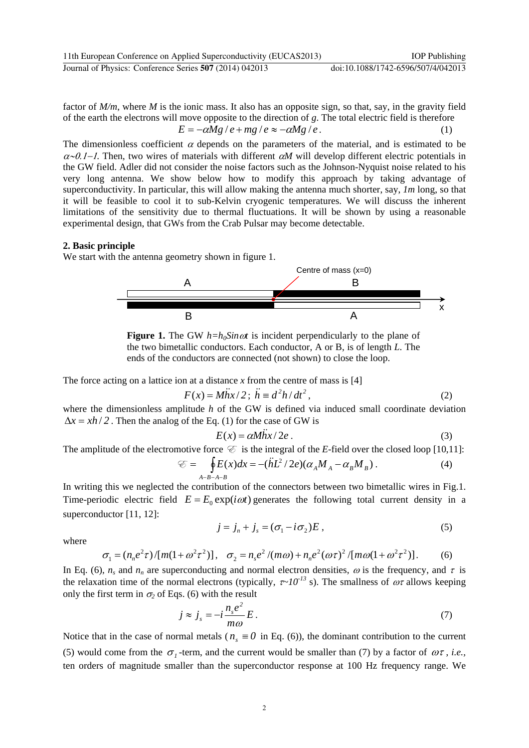factor of *M/m*, where *M* is the ionic mass. It also has an opposite sign, so that, say, in the gravity field of the earth the electrons will move opposite to the direction of *g*. The total electric field is therefore

$$
E = -\alpha Mg / e + mg / e \approx -\alpha Mg / e. \tag{1}
$$

The dimensionless coefficient  $\alpha$  depends on the parameters of the material, and is estimated to be  $\alpha$ -0.1–1. Then, two wires of materials with different  $\alpha$ *M* will develop different electric potentials in the GW field. Adler did not consider the noise factors such as the Johnson-Nyquist noise related to his very long antenna. We show below how to modify this approach by taking advantage of superconductivity. In particular, this will allow making the antenna much shorter, say, *1m* long, so that it will be feasible to cool it to sub-Kelvin cryogenic temperatures. We will discuss the inherent limitations of the sensitivity due to thermal fluctuations. It will be shown by using a reasonable experimental design, that GWs from the Crab Pulsar may become detectable.

#### **2. Basic principle**

We start with the antenna geometry shown in figure 1.



**Figure 1.** The GW  $h=h_0Sin\omega t$  is incident perpendicularly to the plane of the two bimetallic conductors. Each conductor, A or B, is of length *L*. The ends of the conductors are connected (not shown) to close the loop.

The force acting on a lattice ion at a distance  $x$  from the centre of mass is [4]

$$
F(x) = M\ddot{h}x/2; \quad \ddot{h} \equiv d^2h/dt^2, \tag{2}
$$

where the dimensionless amplitude *h* of the GW is defined via induced small coordinate deviation  $\Delta x = xh/2$ . Then the analog of the Eq. (1) for the case of GW is

$$
E(x) = \alpha M \ddot{h} x / 2e \,. \tag{3}
$$

The amplitude of the electromotive force  $\mathcal C$  is the integral of the *E*-field over the closed loop [10,11]:

$$
\mathcal{E} = \oint_{A-B-A-B} E(x)dx = -(\ddot{h}L^2/2e)(\alpha_A M_A - \alpha_B M_B).
$$
 (4)

In writing this we neglected the contribution of the connectors between two bimetallic wires in Fig.1. Time-periodic electric field  $E = E_0 \exp(i\omega t)$  generates the following total current density in a superconductor [11, 12]:

$$
j = j_n + j_s = (\sigma_1 - i \sigma_2)E , \qquad (5)
$$

where

$$
\sigma_1 = (n_n e^2 \tau) / [m(1 + \omega^2 \tau^2)], \quad \sigma_2 = n_s e^2 / (m\omega) + n_n e^2 (\omega \tau)^2 / [m\omega(1 + \omega^2 \tau^2)].
$$
 (6)

In Eq. (6),  $n_s$  and  $n_n$  are superconducting and normal electron densities,  $\omega$  is the frequency, and  $\tau$  is the relaxation time of the normal electrons (typically,  $\tau \sim 10^{-13}$  s). The smallness of  $\omega \tau$  allows keeping only the first term in  $\sigma_2$  of Eqs. (6) with the result

$$
j \approx j_s = -i \frac{n_s e^2}{m\omega} E. \tag{7}
$$

Notice that in the case of normal metals ( $n<sub>s</sub> \equiv 0$  in Eq. (6)), the dominant contribution to the current (5) would come from the  $\sigma_1$ -term, and the current would be smaller than (7) by a factor of  $\omega \tau$ , *i.e.*, ten orders of magnitude smaller than the superconductor response at 100 Hz frequency range. We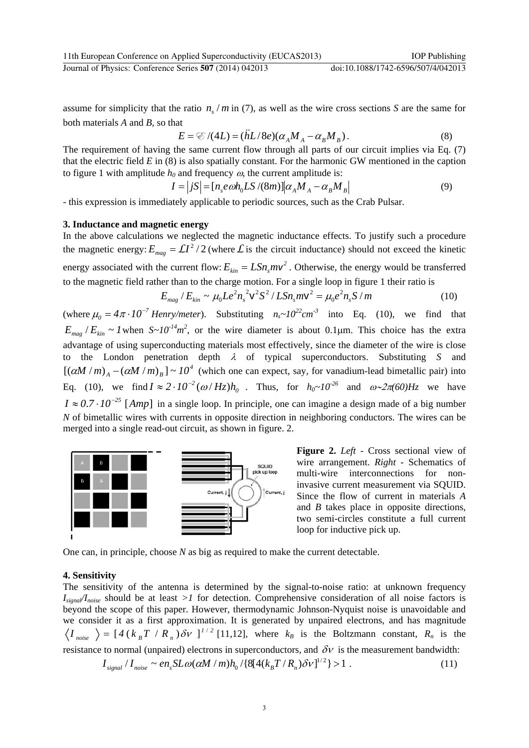assume for simplicity that the ratio  $n/m$  in (7), as well as the wire cross sections *S* are the same for both materials *A* and *B*, so that

$$
E = \mathcal{E}/(4L) = (\ddot{h}L/8e)(\alpha_A M_A - \alpha_B M_B). \tag{8}
$$

The requirement of having the same current flow through all parts of our circuit implies via Eq. (7) that the electric field *E* in (8) is also spatially constant. For the harmonic GW mentioned in the caption to figure 1 with amplitude  $h_0$  and frequency  $\omega$ , the current amplitude is:

$$
I = |jS| = [n_s e \omega h_0 L S / (8m)] \alpha_A M_A - \alpha_B M_B
$$
 (9)

- this expression is immediately applicable to periodic sources, such as the Crab Pulsar.

#### **3. Inductance and magnetic energy**

In the above calculations we neglected the magnetic inductance effects. To justify such a procedure the magnetic energy:  $E_{mag} = \mathcal{L}I^2/2$  (where  $\mathcal{L}$  is the circuit inductance) should not exceed the kinetic energy associated with the current flow:  $E_{kin} = LSn_{s}mv^{2}$ . Otherwise, the energy would be transferred to the magnetic field rather than to the charge motion. For a single loop in figure 1 their ratio is

$$
E_{mag}/E_{kin} \sim \mu_0 L e^2 n_s^2 \mathsf{V}^2 S^2 / L S n_s m \mathsf{V}^2 = \mu_0 e^2 n_s S / m \tag{10}
$$

(where  $\mu_0 = 4\pi \cdot 10^{-7}$  *Henry/meter*). Substituting  $n_s \sim 10^{22}$  *cm*<sup>-3</sup> into Eq. (10), we find that  $E_{mag}/E_{kin} \sim I$  when  $S \sim 10^{-14} m^2$ , or the wire diameter is about 0.1 $\mu$ m. This choice has the extra advantage of using superconducting materials most effectively, since the diameter of the wire is close to the London penetration depth  $\lambda$  of typical superconductors. Substituting S and  $[(\alpha M/m)_{A} - (\alpha M/m)_{B}] \sim 10^{4}$  (which one can expect, say, for vanadium-lead bimetallic pair) into Eq. (10), we find  $I \approx 2 \cdot 10^{-2} (\omega / H_z) h_0$ . Thus, for  $h_0 \sim 10^{-26}$  and  $\omega \sim 2\pi (60)Hz$  we have  $I \approx 0.7 \cdot 10^{-25}$  [*Amp*] in a single loop. In principle, one can imagine a design made of a big number *N* of bimetallic wires with currents in opposite direction in neighboring conductors. The wires can be merged into a single read-out circuit, as shown in figure. 2.



**Figure 2.** *Left -* Cross sectional view of wire arrangement. *Right -* Schematics of multi-wire interconnections for noninvasive current measurement via SQUID. Since the flow of current in materials *A* and *B* takes place in opposite directions, two semi-circles constitute a full current loop for inductive pick up.

One can, in principle, choose *N* as big as required to make the current detectable.

#### **4. Sensitivity**

The sensitivity of the antenna is determined by the signal-to-noise ratio: at unknown frequency *Isignal/Inoise* should be at least *>1* for detection. Comprehensive consideration of all noise factors is beyond the scope of this paper. However, thermodynamic Johnson-Nyquist noise is unavoidable and we consider it as a first approximation. It is generated by unpaired electrons, and has magnitude  $I_{noise}$   $\left(\frac{1}{2}I(K_B T/R_n)\delta V\right]^{1/2}$  [11,12], where  $k_B$  is the Boltzmann constant,  $R_n$  is the resistance to normal (unpaired) electrons in superconductors, and  $\delta v$  is the measurement bandwidth:

$$
I_{signal}/I_{noise} \sim en_s S L \omega(\alpha M/m) h_0 / \{8[4(k_B T/R_n)\delta v]^{1/2}\} > 1.
$$
 (11)